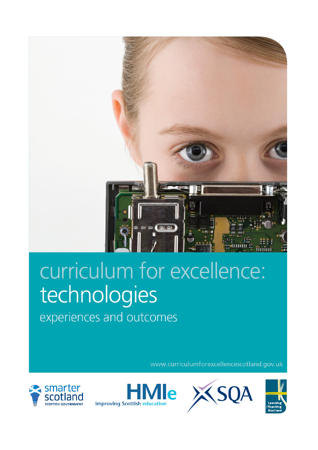

# curriculum for excellence: technologies experiences and outcomes

www.curriculumforexcellencescotland.gov.uk





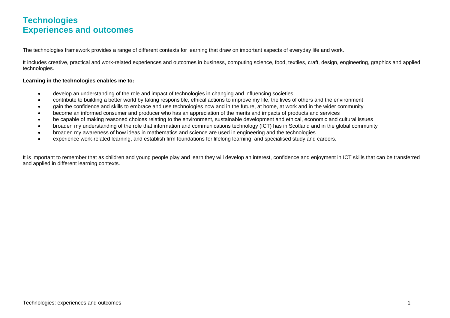## **Technologies Experiences and outcomes**

The technologies framework provides a range of different contexts for learning that draw on important aspects of everyday life and work.

It includes creative, practical and work-related experiences and outcomes in business, computing science, food, textiles, craft, design, engineering, graphics and applied technologies.

#### **Learning in the technologies enables me to:**

- develop an understanding of the role and impact of technologies in changing and influencing societies
- contribute to building a better world by taking responsible, ethical actions to improve my life, the lives of others and the environment
- gain the confidence and skills to embrace and use technologies now and in the future, at home, at work and in the wider community
- become an informed consumer and producer who has an appreciation of the merits and impacts of products and services
- be capable of making reasoned choices relating to the environment, sustainable development and ethical, economic and cultural issues
- broaden my understanding of the role that information and communications technology (ICT) has in Scotland and in the global community
- broaden my awareness of how ideas in mathematics and science are used in engineering and the technologies
- experience work-related learning, and establish firm foundations for lifelong learning, and specialised study and careers.

It is important to remember that as children and young people play and learn they will develop an interest, confidence and enjoyment in ICT skills that can be transferred and applied in different learning contexts.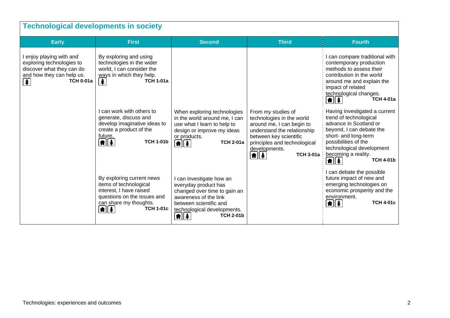| <b>Technological developments in society</b>                                                                                                       |                                                                                                                                                                             |                                                                                                                                                                                                       |                                                                                                                                                                                                                                                                   |                                                                                                                                                                                                                                               |  |
|----------------------------------------------------------------------------------------------------------------------------------------------------|-----------------------------------------------------------------------------------------------------------------------------------------------------------------------------|-------------------------------------------------------------------------------------------------------------------------------------------------------------------------------------------------------|-------------------------------------------------------------------------------------------------------------------------------------------------------------------------------------------------------------------------------------------------------------------|-----------------------------------------------------------------------------------------------------------------------------------------------------------------------------------------------------------------------------------------------|--|
| <b>Early</b>                                                                                                                                       | <b>First</b>                                                                                                                                                                | <b>Second</b>                                                                                                                                                                                         | <b>Third</b>                                                                                                                                                                                                                                                      | <b>Fourth</b>                                                                                                                                                                                                                                 |  |
| I enjoy playing with and<br>exploring technologies to<br>discover what they can do<br>and how they can help us.<br><b>TCH 0-01a</b><br>$\clubsuit$ | By exploring and using<br>technologies in the wider<br>world, I can consider the<br>ways in which they help.<br>牟<br><b>TCH 1-01a</b>                                       |                                                                                                                                                                                                       |                                                                                                                                                                                                                                                                   | I can compare traditional with<br>contemporary production<br>methods to assess their<br>contribution in the world<br>around me and explain the<br>impact of related<br>technological changes.<br><b>TCH 4-01a</b><br>11 1                     |  |
|                                                                                                                                                    | I can work with others to<br>generate, discuss and<br>develop imaginative ideas to<br>create a product of the<br>future.<br>$\left  \mathbf{f} \right $<br><b>TCH 1-01b</b> | When exploring technologies<br>in the world around me, I can<br>use what I learn to help to<br>design or improve my ideas<br>or products.<br>$\boxed{\bullet}$ $\boxed{\ddagger}$<br><b>TCH 2-01a</b> | From my studies of<br>technologies in the world<br>around me, I can begin to<br>understand the relationship<br>between key scientific<br>principles and technological<br>developments.<br><b>TCH 3-01a</b> :<br>$ \pmb{\hat{\textbf{n}}} \pmb{\hat{\textbf{x}}} $ | Having investigated a current<br>trend of technological<br>advance in Scotland or<br>beyond, I can debate the<br>short- and long-term<br>possibilities of the<br>technological development<br>becoming a reality.<br><b>TCH 4-01b</b><br>11 1 |  |
|                                                                                                                                                    | By exploring current news<br>items of technological<br>interest, I have raised<br>questions on the issues and<br>can share my thoughts.<br>11 1<br><b>TCH 1-01c</b>         | I can investigate how an<br>everyday product has<br>changed over time to gain an<br>awareness of the link<br>between scientific and<br>technological developments.<br><b>TCH 2-01b</b><br>11 1        |                                                                                                                                                                                                                                                                   | can debate the possible<br>future impact of new and<br>emerging technologies on<br>economic prosperity and the<br>environment.<br><b>TCH 4-01c</b><br>1 1                                                                                     |  |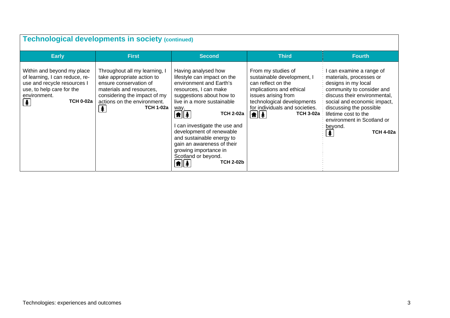| <b>Technological developments in society (continued)</b>                                                                                                           |                                                                                                                                                                                                                         |                                                                                                                                                                                                                                                                                                                                                                                                                                                             |                                                                                                                                                                                                                                              |                                                                                                                                                                                                                                                                                        |  |
|--------------------------------------------------------------------------------------------------------------------------------------------------------------------|-------------------------------------------------------------------------------------------------------------------------------------------------------------------------------------------------------------------------|-------------------------------------------------------------------------------------------------------------------------------------------------------------------------------------------------------------------------------------------------------------------------------------------------------------------------------------------------------------------------------------------------------------------------------------------------------------|----------------------------------------------------------------------------------------------------------------------------------------------------------------------------------------------------------------------------------------------|----------------------------------------------------------------------------------------------------------------------------------------------------------------------------------------------------------------------------------------------------------------------------------------|--|
| <b>Early</b>                                                                                                                                                       | <b>First</b>                                                                                                                                                                                                            | <b>Second</b>                                                                                                                                                                                                                                                                                                                                                                                                                                               | <b>Third</b>                                                                                                                                                                                                                                 | <b>Fourth</b>                                                                                                                                                                                                                                                                          |  |
| Within and beyond my place<br>of learning, I can reduce, re-<br>use and recycle resources I<br>use, to help care for the<br>environment.<br>[≱<br><b>TCH 0-02a</b> | Throughout all my learning, I<br>take appropriate action to<br>ensure conservation of<br>materials and resources,<br>considering the impact of my<br>actions on the environment.<br><b>TCH 1-02a</b><br>$\blacklozenge$ | Having analysed how<br>lifestyle can impact on the<br>environment and Earth's<br>resources, I can make<br>suggestions about how to<br>live in a more sustainable<br>way.<br>$\boxed{\textbf{f}}$<br><b>TCH 2-02a</b><br>can investigate the use and<br>development of renewable<br>and sustainable energy to<br>gain an awareness of their<br>growing importance in<br>Scotland or beyond.<br><b>TCH 2-02b</b><br>$\boxed{\textbf{f}}$ $\boxed{\textbf{f}}$ | From my studies of<br>sustainable development, I<br>can reflect on the<br>implications and ethical<br>issues arising from<br>technological developments<br>for individuals and societies.<br>$\left  \mathbf{f} \right $<br><b>TCH 3-02a</b> | I can examine a range of<br>materials, processes or<br>designs in my local<br>community to consider and<br>discuss their environmental,<br>social and economic impact,<br>discussing the possible<br>lifetime cost to the<br>environment in Scotland or<br>beyond.<br><b>TCH 4-02a</b> |  |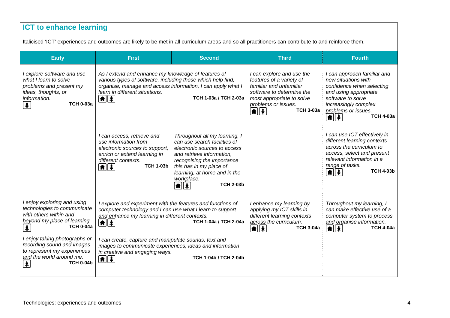## **ICT to enhance learning**

Italicised 'ICT' experiences and outcomes are likely to be met in all curriculum areas and so all practitioners can contribute to and reinforce them.

| <b>Early</b>                                                                                                                                              | <b>First</b>                                                                                                                                                                                                                                              | <b>Second</b>                                                                                                                                                                                                                                                 | <b>Third</b>                                                                                                                                                                                            | <b>Fourth</b>                                                                                                                                                                                            |
|-----------------------------------------------------------------------------------------------------------------------------------------------------------|-----------------------------------------------------------------------------------------------------------------------------------------------------------------------------------------------------------------------------------------------------------|---------------------------------------------------------------------------------------------------------------------------------------------------------------------------------------------------------------------------------------------------------------|---------------------------------------------------------------------------------------------------------------------------------------------------------------------------------------------------------|----------------------------------------------------------------------------------------------------------------------------------------------------------------------------------------------------------|
| I explore software and use<br>what I learn to solve<br>problems and present my<br>ideas, thoughts, or<br>information.<br><b>TCH 0-03a</b><br>$\clubsuit$  | As I extend and enhance my knowledge of features of<br>various types of software, including those which help find,<br>organise, manage and access information, I can apply what I<br>learn in different situations.<br>$  \hat{\bm{\pi}}  \hat{\bm{z}}  $ | TCH 1-03a / TCH 2-03a                                                                                                                                                                                                                                         | I can explore and use the<br>features of a variety of<br>familiar and unfamiliar<br>software to determine the<br>most appropriate to solve<br>problems or issues.<br><b>TCH 3-03a</b><br><b>\#</b>    ‡ | I can approach familiar and<br>new situations with<br>confidence when selecting<br>and using appropriate<br>software to solve<br>increasingly complex<br>problems or issues.<br><b>TCH 4-03a</b><br>11 1 |
|                                                                                                                                                           | I can access, retrieve and<br>use information from<br>electronic sources to support,<br>enrich or extend learning in<br>different contexts.<br><b>TCH 1-03b</b><br>$ \spadesuit \spadesuit $                                                              | Throughout all my learning, I<br>can use search facilities of<br>electronic sources to access<br>and retrieve information,<br>recognising the importance<br>this has in my place of<br>learning, at home and in the<br>workplace.<br><b>TCH 2-03b</b><br>11 1 |                                                                                                                                                                                                         | I can use ICT effectively in<br>different learning contexts<br>across the curriculum to<br>access, select and present<br>relevant information in a<br>range of tasks.<br><b>TCH 4-03b</b><br>⋔∥≰         |
| I enjoy exploring and using<br>technologies to communicate<br>with others within and<br>beyond my place of learning.<br><b>TCH 0-04a</b><br>夆             | I explore and experiment with the features and functions of<br>computer technology and I can use what I learn to support<br>and enhance my learning in different contexts.<br>11 年                                                                        | TCH 1-04a / TCH 2-04a                                                                                                                                                                                                                                         | I enhance my learning by<br>applying my ICT skills in<br>different learning contexts<br>across the curriculum.<br><b>TCH 3-04a</b><br>$\left  \mathbf{f} \right $                                       | Throughout my learning, I<br>can make effective use of a<br>computer system to process<br>and organise information.<br><b>TCH 4-04a</b><br>$\parallel \hat{\mathbf{f}} \parallel \hat{\mathbf{f}}$       |
| I enjoy taking photographs or<br>recording sound and images<br>to represent my experiences<br>and the world around me.<br><b>TCH 0-04b</b><br>$\clubsuit$ | I can create, capture and manipulate sounds, text and<br>images to communicate experiences, ideas and information<br>in creative and engaging ways.<br>$\left  \mathbf{f} \right $                                                                        | TCH 1-04b / TCH 2-04b                                                                                                                                                                                                                                         |                                                                                                                                                                                                         |                                                                                                                                                                                                          |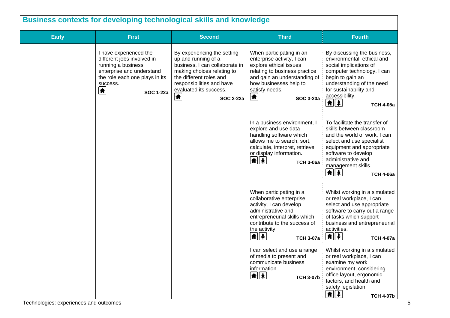| <b>Business contexts for developing technological skills and knowledge</b> |                                                                                                                                                                                        |                                                                                                                                                                                                                               |                                                                                                                                                                                                                                      |                                                                                                                                                                                                                                                             |  |
|----------------------------------------------------------------------------|----------------------------------------------------------------------------------------------------------------------------------------------------------------------------------------|-------------------------------------------------------------------------------------------------------------------------------------------------------------------------------------------------------------------------------|--------------------------------------------------------------------------------------------------------------------------------------------------------------------------------------------------------------------------------------|-------------------------------------------------------------------------------------------------------------------------------------------------------------------------------------------------------------------------------------------------------------|--|
| <b>Early</b>                                                               | <b>First</b>                                                                                                                                                                           | <b>Second</b>                                                                                                                                                                                                                 | <b>Third</b>                                                                                                                                                                                                                         | <b>Fourth</b>                                                                                                                                                                                                                                               |  |
|                                                                            | I have experienced the<br>different jobs involved in<br>running a business<br>enterprise and understand<br>the role each one plays in its<br>success.<br>$\bullet$<br><b>SOC 1-22a</b> | By experiencing the setting<br>up and running of a<br>business, I can collaborate in<br>making choices relating to<br>the different roles and<br>responsibilities and have<br>evaluated its success.<br>合<br><b>SOC 2-22a</b> | When participating in an<br>enterprise activity, I can<br>explore ethical issues<br>relating to business practice<br>and gain an understanding of<br>how businesses help to<br>satisfy needs.<br>$\bigcirc$<br><b>SOC 3-20a</b>      | By discussing the business,<br>environmental, ethical and<br>social implications of<br>computer technology, I can<br>begin to gain an<br>understanding of the need<br>for sustainability and<br>accessibility.<br>1 1<br><b>TCH 4-05a</b>                   |  |
|                                                                            |                                                                                                                                                                                        |                                                                                                                                                                                                                               | In a business environment, I<br>explore and use data<br>handling software which<br>allows me to search, sort,<br>calculate, interpret, retrieve<br>or display information.<br>$\left  \mathbf{f} \right $<br><b>TCH 3-06a</b>        | To facilitate the transfer of<br>skills between classroom<br>and the world of work, I can<br>select and use specialist<br>equipment and appropriate<br>software to develop<br>administrative and<br>management skills.<br><u> A  \$</u><br><b>TCH 4-06a</b> |  |
|                                                                            |                                                                                                                                                                                        |                                                                                                                                                                                                                               | When participating in a<br>collaborative enterprise<br>activity, I can develop<br>administrative and<br>entrepreneurial skills which<br>contribute to the success of<br>the activity.<br>$\frac{1}{\frac{1}{2}}$<br><b>TCH 3-07a</b> | Whilst working in a simulated<br>or real workplace, I can<br>select and use appropriate<br>software to carry out a range<br>of tasks which support<br>business and entrepreneurial<br>activities.<br>1 1<br><b>TCH 4-07a</b>                                |  |
|                                                                            |                                                                                                                                                                                        |                                                                                                                                                                                                                               | I can select and use a range<br>of media to present and<br>communicate business<br>information.<br>$\frac{1}{2}$<br><b>TCH 3-07b</b>                                                                                                 | Whilst working in a simulated<br>or real workplace, I can<br>examine my work<br>environment, considering<br>office layout, ergonomic<br>factors, and health and<br>safety legislation.<br>$\frac{1}{2}$<br><b>TCH 4-07b</b>                                 |  |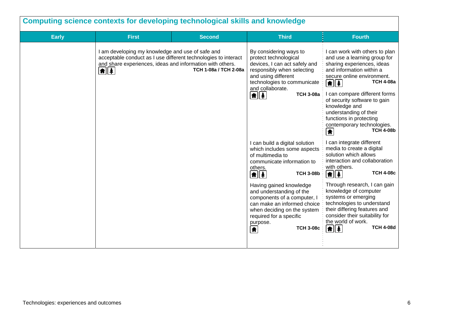| Computing science contexts for developing technological skills and knowledge |                                                                                                                                                                                                  |                       |                                                                                                                                                                                                                                                                                                                                                                                                                                                                                                                                                                                                                                      |                                                                                                                                                                                                                                                                                                                                                                                                                                                                                                                                                                                                                                                                                                                                                                                                                                                                    |  |  |
|------------------------------------------------------------------------------|--------------------------------------------------------------------------------------------------------------------------------------------------------------------------------------------------|-----------------------|--------------------------------------------------------------------------------------------------------------------------------------------------------------------------------------------------------------------------------------------------------------------------------------------------------------------------------------------------------------------------------------------------------------------------------------------------------------------------------------------------------------------------------------------------------------------------------------------------------------------------------------|--------------------------------------------------------------------------------------------------------------------------------------------------------------------------------------------------------------------------------------------------------------------------------------------------------------------------------------------------------------------------------------------------------------------------------------------------------------------------------------------------------------------------------------------------------------------------------------------------------------------------------------------------------------------------------------------------------------------------------------------------------------------------------------------------------------------------------------------------------------------|--|--|
| <b>Early</b>                                                                 | <b>First</b>                                                                                                                                                                                     | <b>Second</b>         | <b>Third</b>                                                                                                                                                                                                                                                                                                                                                                                                                                                                                                                                                                                                                         | <b>Fourth</b>                                                                                                                                                                                                                                                                                                                                                                                                                                                                                                                                                                                                                                                                                                                                                                                                                                                      |  |  |
|                                                                              | I am developing my knowledge and use of safe and<br>acceptable conduct as I use different technologies to interact<br>and share experiences, ideas and information with others.<br>$\frac{1}{2}$ | TCH 1-08a / TCH 2-08a | By considering ways to<br>protect technological<br>devices, I can act safely and<br>responsibly when selecting<br>and using different<br>technologies to communicate<br>and collaborate.<br>$\frac{1}{2}$<br><b>TCH 3-08a</b><br>I can build a digital solution<br>which includes some aspects<br>of multimedia to<br>communicate information to<br>others.<br><b>TCH 3-08b</b><br>$\boxed{\textbf{f}$<br>Having gained knowledge<br>and understanding of the<br>components of a computer, I<br>can make an informed choice<br>when deciding on the system<br>required for a specific<br>purpose.<br><b>TCH 3-08c</b><br>$\biguplus$ | I can work with others to plan<br>and use a learning group for<br>sharing experiences, ideas<br>and information within a<br>secure online environment.<br><b>TCH 4-08a</b><br>$ \hat{\mathbf{n}}  \hat{\mathbf{z}} $<br>I can compare different forms<br>of security software to gain<br>knowledge and<br>understanding of their<br>functions in protecting<br>contemporary technologies.<br><b>TCH 4-08b</b><br>合<br>I can integrate different<br>media to create a digital<br>solution which allows<br>interaction and collaboration<br>with others.<br><b>TCH 4-08c</b><br>$\left  \mathbf{f} \right $<br>Through research, I can gain<br>knowledge of computer<br>systems or emerging<br>technologies to understand<br>their differing features and<br>consider their suitability for<br>the world of work.<br><b>TCH 4-08d</b><br>$\left  \mathbf{f} \right $ |  |  |
|                                                                              |                                                                                                                                                                                                  |                       |                                                                                                                                                                                                                                                                                                                                                                                                                                                                                                                                                                                                                                      |                                                                                                                                                                                                                                                                                                                                                                                                                                                                                                                                                                                                                                                                                                                                                                                                                                                                    |  |  |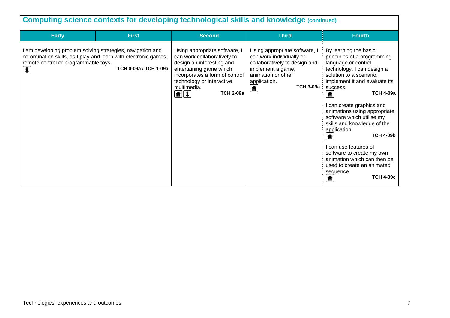| <b>Computing science contexts for developing technological skills and knowledge (continued)</b>                                                                                            |                       |                                                                                                                                                                                                                                                                  |                                                                                                                                                                                   |                                                                                                                                                                                                                                                                                                                                                                                                                                                                                                                                   |
|--------------------------------------------------------------------------------------------------------------------------------------------------------------------------------------------|-----------------------|------------------------------------------------------------------------------------------------------------------------------------------------------------------------------------------------------------------------------------------------------------------|-----------------------------------------------------------------------------------------------------------------------------------------------------------------------------------|-----------------------------------------------------------------------------------------------------------------------------------------------------------------------------------------------------------------------------------------------------------------------------------------------------------------------------------------------------------------------------------------------------------------------------------------------------------------------------------------------------------------------------------|
| <b>Early</b>                                                                                                                                                                               | <b>First</b>          | <b>Second</b>                                                                                                                                                                                                                                                    | <b>Third</b>                                                                                                                                                                      | <b>Fourth</b>                                                                                                                                                                                                                                                                                                                                                                                                                                                                                                                     |
| I am developing problem solving strategies, navigation and<br>co-ordination skills, as I play and learn with electronic games,<br>remote control or programmable toys.<br>$\left  \right.$ | TCH 0-09a / TCH 1-09a | Using appropriate software, I<br>can work collaboratively to<br>design an interesting and<br>entertaining game which<br>incorporates a form of control<br>technology or interactive<br>multimedia.<br>$\boxed{\textcolor{blue}{\textbf{f}}}$<br><b>TCH 2-09a</b> | Using appropriate software, I<br>can work individually or<br>collaboratively to design and<br>implement a game,<br>animation or other<br>application.<br>TCH 3-09a :<br>$\bullet$ | By learning the basic<br>principles of a programming<br>language or control<br>technology, I can design a<br>solution to a scenario,<br>implement it and evaluate its<br>success.<br><b>TCH 4-09a</b><br>♠<br>can create graphics and<br>animations using appropriate<br>software which utilise my<br>skills and knowledge of the<br>application.<br><b>TCH 4-09b</b><br>₩<br>can use features of<br>software to create my own<br>animation which can then be<br>used to create an animated<br>sequence.<br><b>TCH 4-09c</b><br>♠ |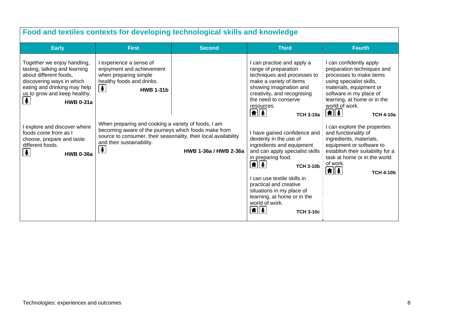| Food and textiles contexts for developing technological skills and knowledge                                                                                                                                 |                                                                                                                                                                                                                                                  |                       |                                                                                                                                                                                                                                                                                                                                                                    |                                                                                                                                                                                                                                                          |  |  |
|--------------------------------------------------------------------------------------------------------------------------------------------------------------------------------------------------------------|--------------------------------------------------------------------------------------------------------------------------------------------------------------------------------------------------------------------------------------------------|-----------------------|--------------------------------------------------------------------------------------------------------------------------------------------------------------------------------------------------------------------------------------------------------------------------------------------------------------------------------------------------------------------|----------------------------------------------------------------------------------------------------------------------------------------------------------------------------------------------------------------------------------------------------------|--|--|
| <b>Early</b>                                                                                                                                                                                                 | <b>First</b>                                                                                                                                                                                                                                     | <b>Second</b>         | <b>Third</b>                                                                                                                                                                                                                                                                                                                                                       | <b>Fourth</b>                                                                                                                                                                                                                                            |  |  |
| Together we enjoy handling,<br>tasting, talking and learning<br>about different foods,<br>discovering ways in which<br>eating and drinking may help<br>us to grow and keep healthy.<br>牟<br><b>HWB 0-31a</b> | I experience a sense of<br>enjoyment and achievement<br>when preparing simple<br>healthy foods and drinks.<br>$\clubsuit$<br><b>HWB 1-31b</b>                                                                                                    |                       | I can practise and apply a<br>range of preparation<br>techniques and processes to<br>make a variety of items<br>showing imagination and<br>creativity, and recognising<br>the need to conserve<br>resources.<br>$\frac{1}{2}$<br><b>TCH 3-10a</b>                                                                                                                  | I can confidently apply<br>preparation techniques and<br>processes to make items<br>using specialist skills,<br>materials, equipment or<br>software in my place of<br>learning, at home or in the<br>world of work.<br>$\frac{1}{2}$<br><b>TCH 4-10a</b> |  |  |
| I explore and discover where<br>foods come from as I<br>choose, prepare and taste<br>different foods.<br>$\frac{1}{2}$<br><b>HWB 0-36a</b>                                                                   | When preparing and cooking a variety of foods, I am<br>becoming aware of the journeys which foods make from<br>source to consumer, their seasonality, their local availability<br>and their sustainability.<br>$\left  \mathbf{\pmb{*}} \right $ | HWB 1-36a / HWB 2-36a | I have gained confidence and<br>dexterity in the use of<br>ingredients and equipment<br>and can apply specialist skills<br>in preparing food.<br>$ \hat{\mathbf{n}} $ $ * $<br><b>TCH 3-10b</b><br>I can use textile skills in<br>practical and creative<br>situations in my place of<br>learning, at home or in the<br>world of work.<br>M∥ ≸<br><b>TCH 3-10c</b> | I can explore the properties<br>and functionality of<br>ingredients, materials,<br>equipment or software to<br>establish their suitability for a<br>task at home or in the world<br>of work.<br>$  \hat{\bm{\pi}}  \hat{\bm{z}}  $<br><b>TCH 4-10b</b>   |  |  |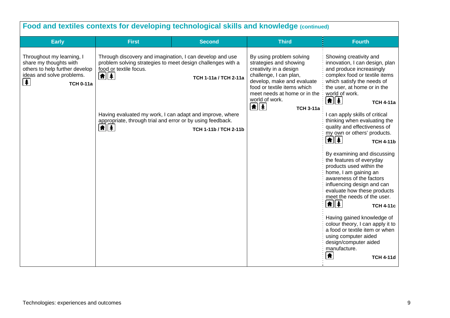| Food and textiles contexts for developing technological skills and knowledge (continued)                                                                                                                                                                                                                                                                                                                                                                                                                                      |                                                                                                                                                                                                                                                                   |                                                                                                                                                                                                                                                                                                                                                                                                                                                                                                                                                                                                                                                                                                                                                                                                                                                              |  |  |  |  |
|-------------------------------------------------------------------------------------------------------------------------------------------------------------------------------------------------------------------------------------------------------------------------------------------------------------------------------------------------------------------------------------------------------------------------------------------------------------------------------------------------------------------------------|-------------------------------------------------------------------------------------------------------------------------------------------------------------------------------------------------------------------------------------------------------------------|--------------------------------------------------------------------------------------------------------------------------------------------------------------------------------------------------------------------------------------------------------------------------------------------------------------------------------------------------------------------------------------------------------------------------------------------------------------------------------------------------------------------------------------------------------------------------------------------------------------------------------------------------------------------------------------------------------------------------------------------------------------------------------------------------------------------------------------------------------------|--|--|--|--|
| <b>Early</b><br><b>Second</b><br><b>First</b>                                                                                                                                                                                                                                                                                                                                                                                                                                                                                 | <b>Third</b>                                                                                                                                                                                                                                                      | <b>Fourth</b>                                                                                                                                                                                                                                                                                                                                                                                                                                                                                                                                                                                                                                                                                                                                                                                                                                                |  |  |  |  |
| Throughout my learning, I<br>Through discovery and imagination, I can develop and use<br>share my thoughts with<br>problem solving strategies to meet design challenges with a<br>others to help further develop<br>food or textile focus.<br>ideas and solve problems.<br>$\frac{1}{2}$<br>TCH 1-11a / TCH 2-11a<br>牟<br><b>TCH 0-11a</b><br>Having evaluated my work, I can adapt and improve, where<br>appropriate, through trial and error or by using feedback.<br>$\left  \frac{1}{2} \right $<br>TCH 1-11b / TCH 2-11b | By using problem solving<br>strategies and showing<br>creativity in a design<br>challenge, I can plan,<br>develop, make and evaluate<br>food or textile items which<br>meet needs at home or in the<br>world of work.<br>$\boxed{\textbf{f}}$<br><b>TCH 3-11a</b> | Showing creativity and<br>innovation, I can design, plan<br>and produce increasingly<br>complex food or textile items<br>which satisfy the needs of<br>the user, at home or in the<br>world of work.<br>⋔│∤<br><b>TCH 4-11a</b><br>I can apply skills of critical<br>thinking when evaluating the<br>quality and effectiveness of<br>my own or others' products.<br>1 4<br><b>TCH 4-11b</b><br>By examining and discussing<br>the features of everyday<br>products used within the<br>home, I am gaining an<br>awareness of the factors<br>influencing design and can<br>evaluate how these products<br>meet the needs of the user.<br>1 1<br><b>TCH 4-11c</b><br>Having gained knowledge of<br>colour theory, I can apply it to<br>a food or textile item or when<br>using computer aided<br>design/computer aided<br>manufacture.<br>₩<br><b>TCH 4-11d</b> |  |  |  |  |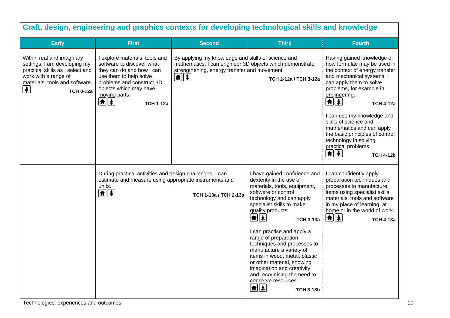| Craft, design, engineering and graphics contexts for developing technological skills and knowledge                                                                                         |                                                                                                                                                                                                                                 |                                                                                                                                                                                               |                                                                                                                                                                                                                                                                                                                                                                                                                                                                                                                                                                     |                                                                                                                                                                                                                                                                               |  |
|--------------------------------------------------------------------------------------------------------------------------------------------------------------------------------------------|---------------------------------------------------------------------------------------------------------------------------------------------------------------------------------------------------------------------------------|-----------------------------------------------------------------------------------------------------------------------------------------------------------------------------------------------|---------------------------------------------------------------------------------------------------------------------------------------------------------------------------------------------------------------------------------------------------------------------------------------------------------------------------------------------------------------------------------------------------------------------------------------------------------------------------------------------------------------------------------------------------------------------|-------------------------------------------------------------------------------------------------------------------------------------------------------------------------------------------------------------------------------------------------------------------------------|--|
| <b>Early</b>                                                                                                                                                                               | <b>First</b>                                                                                                                                                                                                                    | <b>Second</b>                                                                                                                                                                                 | <b>Third</b>                                                                                                                                                                                                                                                                                                                                                                                                                                                                                                                                                        | <b>Fourth</b>                                                                                                                                                                                                                                                                 |  |
| Within real and imaginary<br>settings, I am developing my<br>practical skills as I select and<br>work with a range of<br>materials, tools and software.<br>$\clubsuit$<br><b>TCH 0-12a</b> | I explore materials, tools and<br>software to discover what<br>they can do and how I can<br>use them to help solve<br>problems and construct 3D<br>objects which may have<br>moving parts.<br>$\frac{1}{2}$<br><b>TCH 1-12a</b> | By applying my knowledge and skills of science and<br>mathematics, I can engineer 3D objects which demonstrate<br>strengthening, energy transfer and movement.<br>$\left  \mathbf{f} \right $ | TCH 2-12a / TCH 3-12a                                                                                                                                                                                                                                                                                                                                                                                                                                                                                                                                               | Having gained knowledge of<br>how formulae may be used in<br>the context of energy transfer<br>and mechanical systems, I<br>can apply them to solve<br>problems, for example in<br>engineering.<br><b> A  </b> ≱ <br><b>TCH 4-12a</b>                                         |  |
|                                                                                                                                                                                            |                                                                                                                                                                                                                                 |                                                                                                                                                                                               |                                                                                                                                                                                                                                                                                                                                                                                                                                                                                                                                                                     | I can use my knowledge and<br>skills of science and<br>mathematics and can apply<br>the basic principles of control<br>technology in solving<br>practical problems.<br>1 1<br><b>TCH 4-12b</b>                                                                                |  |
|                                                                                                                                                                                            | During practical activities and design challenges, I can<br>estimate and measure using appropriate instruments and<br>units.<br>$\boxed{\textbf{f}$                                                                             | TCH 1-13a / TCH 2-13a                                                                                                                                                                         | I have gained confidence and<br>dexterity in the use of<br>materials, tools, equipment,<br>software or control<br>technology and can apply<br>specialist skills to make<br>quality products.<br>$  \hat{\mathbf{n}}  \hat{\mathbf{z}}  $<br><b>TCH 3-13a</b><br>I can practise and apply a<br>range of preparation<br>techniques and processes to<br>manufacture a variety of<br>items in wood, metal, plastic<br>or other material, showing<br>imagination and creativity,<br>and recognising the need to<br>conserve resources.<br><b>A</b> 4<br><b>TCH 3-13b</b> | I can confidently apply<br>preparation techniques and<br>processes to manufacture<br>items using specialist skills,<br>materials, tools and software<br>in my place of learning, at<br>home or in the world of work.<br>$\left  \mathbf{\hat{n}} \right $<br><b>TCH 4-13a</b> |  |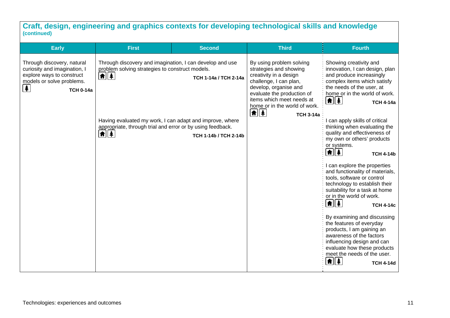### **Craft, design, engineering and graphics contexts for developing technological skills and knowledge (continued)**

| <b>Early</b>                                                                                                                                                             | <b>First</b>                                                                                                                           | <b>Second</b>         | <b>Third</b>                                                                                                                                                                                                                                                           | <b>Fourth</b>                                                                                                                                                                                                                                    |
|--------------------------------------------------------------------------------------------------------------------------------------------------------------------------|----------------------------------------------------------------------------------------------------------------------------------------|-----------------------|------------------------------------------------------------------------------------------------------------------------------------------------------------------------------------------------------------------------------------------------------------------------|--------------------------------------------------------------------------------------------------------------------------------------------------------------------------------------------------------------------------------------------------|
| Through discovery, natural<br>curiosity and imagination, I<br>explore ways to construct<br>models or solve problems.<br>$\left  \frac{1}{2} \right $<br><b>TCH 0-14a</b> | Through discovery and imagination, I can develop and use<br>problem solving strategies to construct models.                            | TCH 1-14a / TCH 2-14a | By using problem solving<br>strategies and showing<br>creativity in a design<br>challenge, I can plan,<br>develop, organise and<br>evaluate the production of<br>items which meet needs at<br>home or in the world of work.<br>$\boxed{\textbf{f}$<br><b>TCH 3-14a</b> | Showing creativity and<br>innovation, I can design, plan<br>and produce increasingly<br>complex items which satisfy<br>the needs of the user, at<br>home or in the world of work.<br><b>TCH 4-14a</b>                                            |
|                                                                                                                                                                          | Having evaluated my work, I can adapt and improve, where<br>appropriate, through trial and error or by using feedback.<br><b>★</b>   ↓ | TCH 1-14b / TCH 2-14b |                                                                                                                                                                                                                                                                        | can apply skills of critical<br>thinking when evaluating the<br>quality and effectiveness of<br>my own or others' products<br>or systems.<br>$\left  \mathbf{f} \right $<br><b>TCH 4-14b</b>                                                     |
|                                                                                                                                                                          |                                                                                                                                        |                       |                                                                                                                                                                                                                                                                        | I can explore the properties<br>and functionality of materials,<br>tools, software or control<br>technology to establish their<br>suitability for a task at home<br>or in the world of work.<br><b>TCH 4-14c</b>                                 |
|                                                                                                                                                                          |                                                                                                                                        |                       |                                                                                                                                                                                                                                                                        | By examining and discussing<br>the features of everyday<br>products, I am gaining an<br>awareness of the factors<br>influencing design and can<br>evaluate how these products<br>meet the needs of the user.<br><b>角</b> │ ‡<br><b>TCH 4-14d</b> |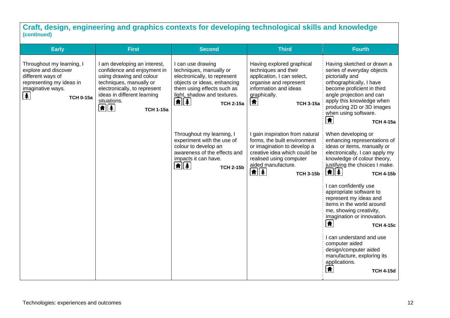**Craft, design, engineering and graphics contexts for developing technological skills and knowledge (continued)** 

| <b>Early</b>                                                                                                                                               | <b>First</b>                                                                                                                                                                                                                       | <b>Second</b>                                                                                                                                                                                                                             | <b>Third</b>                                                                                                                                                                                                                                                   | <b>Fourth</b>                                                                                                                                                                                                                                                                |
|------------------------------------------------------------------------------------------------------------------------------------------------------------|------------------------------------------------------------------------------------------------------------------------------------------------------------------------------------------------------------------------------------|-------------------------------------------------------------------------------------------------------------------------------------------------------------------------------------------------------------------------------------------|----------------------------------------------------------------------------------------------------------------------------------------------------------------------------------------------------------------------------------------------------------------|------------------------------------------------------------------------------------------------------------------------------------------------------------------------------------------------------------------------------------------------------------------------------|
| Throughout my learning, I<br>explore and discover<br>different ways of<br>representing my ideas in<br>imaginative ways.<br>$\clubsuit$<br><b>TCH 0-15a</b> | I am developing an interest,<br>confidence and enjoyment in<br>using drawing and colour<br>techniques, manually or<br>electronically, to represent<br>ideas in different learning<br>situations.<br><b>A</b> 4<br><b>TCH 1-15a</b> | I can use drawing<br>techniques, manually or<br>electronically, to represent<br>objects or ideas, enhancing<br>them using effects such as<br>light, shadow and textures.<br>$\parallel \parallel \parallel \parallel$<br><b>TCH 2-15a</b> | Having explored graphical<br>techniques and their<br>application, I can select,<br>organise and represent<br>information and ideas<br>graphically.<br>Ħ<br><b>TCH 3-15a</b>                                                                                    | Having sketched or drawn a<br>series of everyday objects<br>pictorially and<br>orthographically, I have<br>become proficient in third<br>angle projection and can<br>apply this knowledge when<br>producing 2D or 3D images<br>when using software.<br>♠<br><b>TCH 4-15a</b> |
|                                                                                                                                                            |                                                                                                                                                                                                                                    | Throughout my learning, I<br>experiment with the use of<br>colour to develop an<br>awareness of the effects and<br>impacts it can have.<br>1 1<br><b>TCH 2-15b</b>                                                                        | I gain inspiration from natural<br>forms, the built environment<br>or imagination to develop a<br>creative idea which could be<br>realised using computer<br>aided manufacture.<br>$\left  \mathbf{f} \right $ $\left  \mathbf{f} \right $<br><b>TCH 3-15b</b> | When developing or<br>enhancing representations of<br>ideas or items, manually or<br>electronically, I can apply my<br>knowledge of colour theory,<br>justifying the choices I make.<br><u> ★   本  </u><br><b>TCH 4-15b</b>                                                  |
|                                                                                                                                                            |                                                                                                                                                                                                                                    |                                                                                                                                                                                                                                           |                                                                                                                                                                                                                                                                | I can confidently use<br>appropriate software to<br>represent my ideas and<br>items in the world around<br>me, showing creativity,<br>imagination or innovation.<br>合<br><b>TCH 4-15c</b>                                                                                    |
|                                                                                                                                                            |                                                                                                                                                                                                                                    |                                                                                                                                                                                                                                           |                                                                                                                                                                                                                                                                | I can understand and use<br>computer aided<br>design/computer aided<br>manufacture, exploring its<br>applications.<br>₩<br><b>TCH 4-15d</b>                                                                                                                                  |